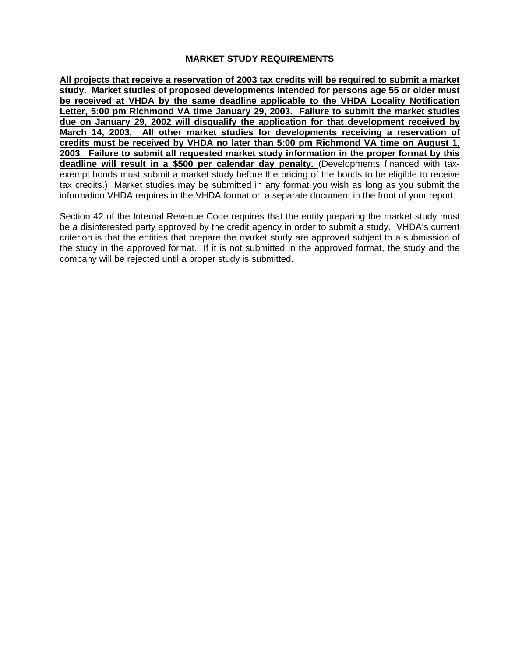# **MARKET STUDY REQUIREMENTS**

**All projects that receive a reservation of 2003 tax credits will be required to submit a market study. Market studies of proposed developments intended for persons age 55 or older must be received at VHDA by the same deadline applicable to the VHDA Locality Notification Letter, 5:00 pm Richmond VA time January 29, 2003. Failure to submit the market studies due on January 29, 2002 will disqualify the application for that development received by March 14, 2003. All other market studies for developments receiving a reservation of credits must be received by VHDA no later than 5:00 pm Richmond VA time on August 1, 2003**. **Failure to submit all requested market study information in the proper format by this deadline will result in a \$500 per calendar day penalty.** (Developments financed with taxexempt bonds must submit a market study before the pricing of the bonds to be eligible to receive tax credits.) Market studies may be submitted in any format you wish as long as you submit the information VHDA requires in the VHDA format on a separate document in the front of your report.

Section 42 of the Internal Revenue Code requires that the entity preparing the market study must be a disinterested party approved by the credit agency in order to submit a study. VHDA's current criterion is that the entities that prepare the market study are approved subject to a submission of the study in the approved format. If it is not submitted in the approved format, the study and the company will be rejected until a proper study is submitted.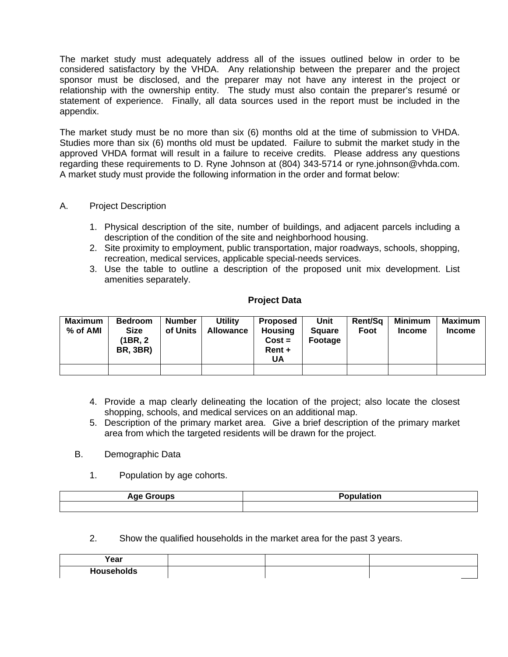The market study must adequately address all of the issues outlined below in order to be considered satisfactory by the VHDA. Any relationship between the preparer and the project sponsor must be disclosed, and the preparer may not have any interest in the project or relationship with the ownership entity. The study must also contain the preparer's resumé or statement of experience. Finally, all data sources used in the report must be included in the appendix.

The market study must be no more than six (6) months old at the time of submission to VHDA. Studies more than six (6) months old must be updated. Failure to submit the market study in the approved VHDA format will result in a failure to receive credits. Please address any questions regarding these requirements to D. Ryne Johnson at (804) 343-5714 or ryne.johnson@vhda.com. A market study must provide the following information in the order and format below:

### A. Project Description

- 1. Physical description of the site, number of buildings, and adjacent parcels including a description of the condition of the site and neighborhood housing.
- 2. Site proximity to employment, public transportation, major roadways, schools, shopping, recreation, medical services, applicable special-needs services.
- 3. Use the table to outline a description of the proposed unit mix development. List amenities separately.

#### **Project Data**

| Maximum<br>% of AMI | <b>Bedroom</b><br><b>Size</b><br>(1BR, 2)<br><b>BR, 3BR)</b> | <b>Number</b><br>of Units | Utility<br>Allowance | <b>Proposed</b><br><b>Housing</b><br>$Cost =$<br>$Rent +$<br>UA | Unit<br><b>Square</b><br>Footage | Rent/Sq<br>Foot | <b>Minimum</b><br><b>Income</b> | Maximum<br><b>Income</b> |
|---------------------|--------------------------------------------------------------|---------------------------|----------------------|-----------------------------------------------------------------|----------------------------------|-----------------|---------------------------------|--------------------------|
|                     |                                                              |                           |                      |                                                                 |                                  |                 |                                 |                          |

- 4. Provide a map clearly delineating the location of the project; also locate the closest shopping, schools, and medical services on an additional map.
- 5. Description of the primary market area. Give a brief description of the primary market area from which the targeted residents will be drawn for the project.
- B. Demographic Data
	- 1. Population by age cohorts.

| Age C | <b>Desi</b> |  |  |  |  |
|-------|-------------|--|--|--|--|
| .     | .           |  |  |  |  |
| - - - | топ         |  |  |  |  |
|       |             |  |  |  |  |

2. Show the qualified households in the market area for the past 3 years.

| <b>Voor</b><br>ι σαι       |  |  |
|----------------------------|--|--|
| - -<br>HOUSAM<br>oias<br>. |  |  |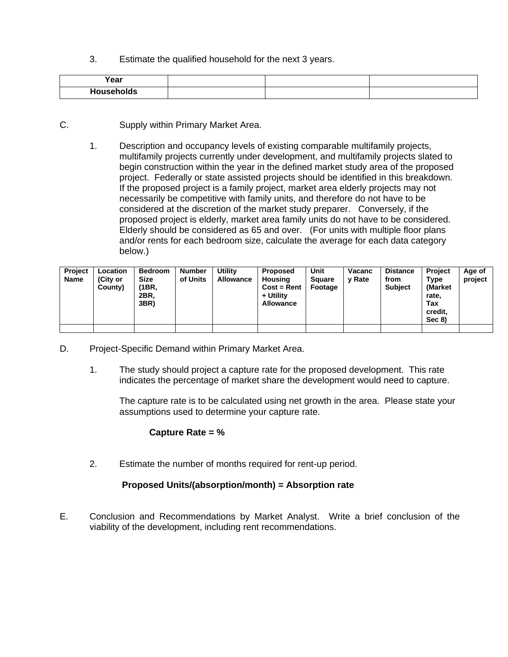3. Estimate the qualified household for the next 3 years.

| Year |  |  |
|------|--|--|
| .    |  |  |

- C. Supply within Primary Market Area.
	- 1. Description and occupancy levels of existing comparable multifamily projects, multifamily projects currently under development, and multifamily projects slated to begin construction within the year in the defined market study area of the proposed project. Federally or state assisted projects should be identified in this breakdown. If the proposed project is a family project, market area elderly projects may not necessarily be competitive with family units, and therefore do not have to be considered at the discretion of the market study preparer. Conversely, if the proposed project is elderly, market area family units do not have to be considered. Elderly should be considered as 65 and over. (For units with multiple floor plans and/or rents for each bedroom size, calculate the average for each data category below.)

| <b>Project</b><br>Name | Location<br>(City or<br>County) | <b>Bedroom</b><br><b>Size</b><br>(1BR.<br>2BR.<br>3BR) | <b>Number</b><br>of Units | Utilitv<br>Allowance | <b>Proposed</b><br>Housing<br>$Cost = Rent$<br>+ Utility<br><b>Allowance</b> | Unit<br><b>Square</b><br>Footage | Vacanc<br><b>v</b> Rate | <b>Distance</b><br>from<br><b>Subject</b> | <b>Project</b><br>Type<br>(Market<br>rate.<br>Tax<br>credit,<br>Sec 8) | Age of<br>project |
|------------------------|---------------------------------|--------------------------------------------------------|---------------------------|----------------------|------------------------------------------------------------------------------|----------------------------------|-------------------------|-------------------------------------------|------------------------------------------------------------------------|-------------------|
|                        |                                 |                                                        |                           |                      |                                                                              |                                  |                         |                                           |                                                                        |                   |

- D. Project-Specific Demand within Primary Market Area.
	- 1. The study should project a capture rate for the proposed development. This rate indicates the percentage of market share the development would need to capture.

The capture rate is to be calculated using net growth in the area. Please state your assumptions used to determine your capture rate.

# **Capture Rate = %**

2. Estimate the number of months required for rent-up period.

#### **Proposed Units/(absorption/month) = Absorption rate**

E. Conclusion and Recommendations by Market Analyst. Write a brief conclusion of the viability of the development, including rent recommendations.